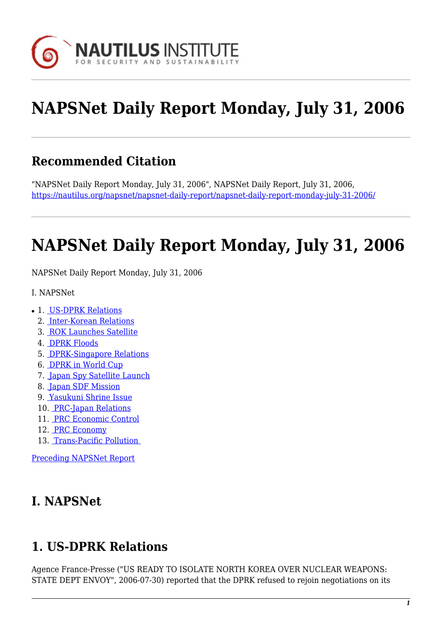

# **NAPSNet Daily Report Monday, July 31, 2006**

# **Recommended Citation**

"NAPSNet Daily Report Monday, July 31, 2006", NAPSNet Daily Report, July 31, 2006, <https://nautilus.org/napsnet/napsnet-daily-report/napsnet-daily-report-monday-july-31-2006/>

# **NAPSNet Daily Report Monday, July 31, 2006**

<span id="page-0-1"></span>NAPSNet Daily Report Monday, July 31, 2006

- I. NAPSNet
- 1. [US-DPRK Relations](#page-0-0)
	- 2. [Inter-Korean Relations](#page-1-0)
	- 3. [ROK Launches Satellite](#page-1-1)
	- 4. [DPRK Floods](#page-1-2)
	- 5. [DPRK-Singapore Relations](#page-1-3)
	- 6. [DPRK in World Cup](#page-2-0)
	- 7. [Japan Spy Satellite Launch](#page-2-1)
	- 8. [Japan SDF Mission](#page-2-2)
	- 9. [Yasukuni Shrine Issue](#page-2-3)
	- 10. [PRC-Japan Relations](#page-3-0)
	- 11. [PRC Economic Control](#page-3-1)
	- 12. [PRC Economy](#page-3-2)
	- 13. [Trans-Pacific Pollution](#page-3-3)

[Preceding NAPSNet Report](https://nautilus.org/mailing-lists/napsnet/dr/2006-2/napsnet-daily-report-thursday-july-27-2006/)

## **I. NAPSNet**

## <span id="page-0-0"></span>**1. US-DPRK Relations**

Agence France-Presse ("US READY TO ISOLATE NORTH KOREA OVER NUCLEAR WEAPONS: STATE DEPT ENVOY", 2006-07-30) reported that the DPRK refused to rejoin negotiations on its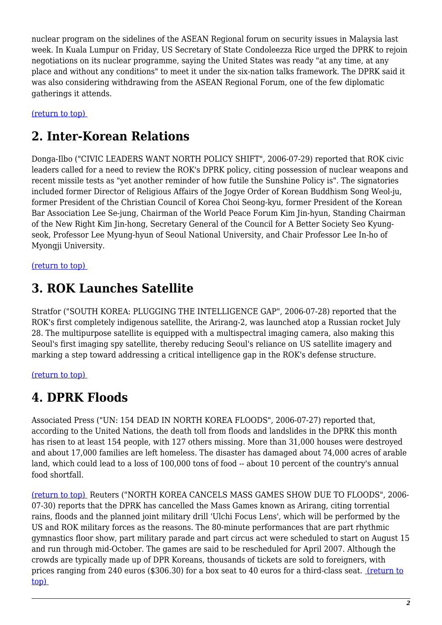nuclear program on the sidelines of the ASEAN Regional forum on security issues in Malaysia last week. In Kuala Lumpur on Friday, US Secretary of State Condoleezza Rice urged the DPRK to rejoin negotiations on its nuclear programme, saying the United States was ready "at any time, at any place and without any conditions" to meet it under the six-nation talks framework. The DPRK said it was also considering withdrawing from the ASEAN Regional Forum, one of the few diplomatic gatherings it attends.

<span id="page-1-0"></span>[\(return to top\)](#page-0-1) 

## **2. Inter-Korean Relations**

Donga-Ilbo ("CIVIC LEADERS WANT NORTH POLICY SHIFT", 2006-07-29) reported that ROK civic leaders called for a need to review the ROK's DPRK policy, citing possession of nuclear weapons and recent missile tests as "yet another reminder of how futile the Sunshine Policy is". The signatories included former Director of Religious Affairs of the Jogye Order of Korean Buddhism Song Weol-ju, former President of the Christian Council of Korea Choi Seong-kyu, former President of the Korean Bar Association Lee Se-jung, Chairman of the World Peace Forum Kim Jin-hyun, Standing Chairman of the New Right Kim Jin-hong, Secretary General of the Council for A Better Society Seo Kyungseok, Professor Lee Myung-hyun of Seoul National University, and Chair Professor Lee In-ho of Myongji University.

<span id="page-1-1"></span>[\(return to top\)](#page-0-1) 

# **3. ROK Launches Satellite**

Stratfor ("SOUTH KOREA: PLUGGING THE INTELLIGENCE GAP", 2006-07-28) reported that the ROK's first completely indigenous satellite, the Arirang-2, was launched atop a Russian rocket July 28. The multipurpose satellite is equipped with a multispectral imaging camera, also making this Seoul's first imaging spy satellite, thereby reducing Seoul's reliance on US satellite imagery and marking a step toward addressing a critical intelligence gap in the ROK's defense structure.

#### <span id="page-1-2"></span>[\(return to top\)](#page-0-1)

## **4. DPRK Floods**

Associated Press ("UN: 154 DEAD IN NORTH KOREA FLOODS", 2006-07-27) reported that, according to the United Nations, the death toll from floods and landslides in the DPRK this month has risen to at least 154 people, with 127 others missing. More than 31,000 houses were destroyed and about 17,000 families are left homeless. The disaster has damaged about 74,000 acres of arable land, which could lead to a loss of 100,000 tons of food -- about 10 percent of the country's annual food shortfall.

<span id="page-1-3"></span>[\(return to top\)](#page-0-1) Reuters ("NORTH KOREA CANCELS MASS GAMES SHOW DUE TO FLOODS", 2006- 07-30) reports that the DPRK has cancelled the Mass Games known as Arirang, citing torrential rains, floods and the planned joint military drill 'Ulchi Focus Lens', which will be performed by the US and ROK military forces as the reasons. The 80-minute performances that are part rhythmic gymnastics floor show, part military parade and part circus act were scheduled to start on August 15 and run through mid-October. The games are said to be rescheduled for April 2007. Although the crowds are typically made up of DPR Koreans, thousands of tickets are sold to foreigners, with prices ranging from 240 euros (\$306.30) for a box seat to 40 euros for a third-class seat. [\(return to](#page-0-1) [top\)](#page-0-1)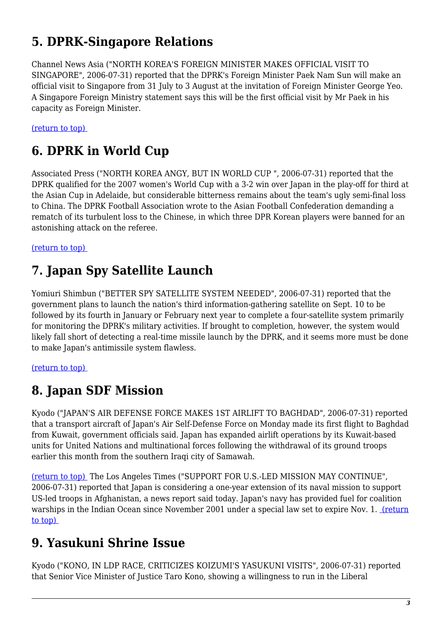# **5. DPRK-Singapore Relations**

Channel News Asia ("NORTH KOREA'S FOREIGN MINISTER MAKES OFFICIAL VISIT TO SINGAPORE", 2006-07-31) reported that the DPRK's Foreign Minister Paek Nam Sun will make an official visit to Singapore from 31 July to 3 August at the invitation of Foreign Minister George Yeo. A Singapore Foreign Ministry statement says this will be the first official visit by Mr Paek in his capacity as Foreign Minister.

<span id="page-2-0"></span>[\(return to top\)](#page-0-1) 

# **6. DPRK in World Cup**

Associated Press ("NORTH KOREA ANGY, BUT IN WORLD CUP ", 2006-07-31) reported that the DPRK qualified for the 2007 women's World Cup with a 3-2 win over Japan in the play-off for third at the Asian Cup in Adelaide, but considerable bitterness remains about the team's ugly semi-final loss to China. The DPRK Football Association wrote to the Asian Football Confederation demanding a rematch of its turbulent loss to the Chinese, in which three DPR Korean players were banned for an astonishing attack on the referee.

<span id="page-2-1"></span>[\(return to top\)](#page-0-1) 

# **7. Japan Spy Satellite Launch**

Yomiuri Shimbun ("BETTER SPY SATELLITE SYSTEM NEEDED", 2006-07-31) reported that the government plans to launch the nation's third information-gathering satellite on Sept. 10 to be followed by its fourth in January or February next year to complete a four-satellite system primarily for monitoring the DPRK's military activities. If brought to completion, however, the system would likely fall short of detecting a real-time missile launch by the DPRK, and it seems more must be done to make Japan's antimissile system flawless.

<span id="page-2-2"></span>[\(return to top\)](#page-0-1) 

# **8. Japan SDF Mission**

Kyodo ("JAPAN'S AIR DEFENSE FORCE MAKES 1ST AIRLIFT TO BAGHDAD", 2006-07-31) reported that a transport aircraft of Japan's Air Self-Defense Force on Monday made its first flight to Baghdad from Kuwait, government officials said. Japan has expanded airlift operations by its Kuwait-based units for United Nations and multinational forces following the withdrawal of its ground troops earlier this month from the southern Iraqi city of Samawah.

[\(return to top\)](#page-0-1) The Los Angeles Times ("SUPPORT FOR U.S.-LED MISSION MAY CONTINUE", 2006-07-31) reported that Japan is considering a one-year extension of its naval mission to support US-led troops in Afghanistan, a news report said today. Japan's navy has provided fuel for coalition warships in the Indian Ocean since November 2001 under a special law set to expire Nov. 1. [\(return](#page-0-1) [to top\)](#page-0-1) 

## <span id="page-2-3"></span>**9. Yasukuni Shrine Issue**

Kyodo ("KONO, IN LDP RACE, CRITICIZES KOIZUMI'S YASUKUNI VISITS", 2006-07-31) reported that Senior Vice Minister of Justice Taro Kono, showing a willingness to run in the Liberal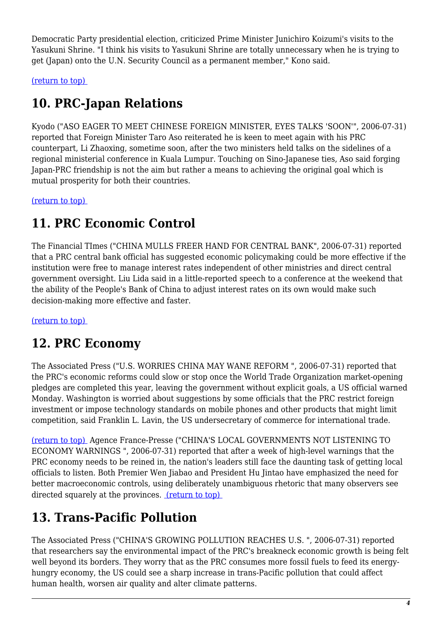Democratic Party presidential election, criticized Prime Minister Junichiro Koizumi's visits to the Yasukuni Shrine. "I think his visits to Yasukuni Shrine are totally unnecessary when he is trying to get (Japan) onto the U.N. Security Council as a permanent member," Kono said.

<span id="page-3-0"></span>[\(return to top\)](#page-0-1) 

# **10. PRC-Japan Relations**

Kyodo ("ASO EAGER TO MEET CHINESE FOREIGN MINISTER, EYES TALKS 'SOON'", 2006-07-31) reported that Foreign Minister Taro Aso reiterated he is keen to meet again with his PRC counterpart, Li Zhaoxing, sometime soon, after the two ministers held talks on the sidelines of a regional ministerial conference in Kuala Lumpur. Touching on Sino-Japanese ties, Aso said forging Japan-PRC friendship is not the aim but rather a means to achieving the original goal which is mutual prosperity for both their countries.

<span id="page-3-1"></span>[\(return to top\)](#page-0-1) 

# **11. PRC Economic Control**

The Financial TImes ("CHINA MULLS FREER HAND FOR CENTRAL BANK", 2006-07-31) reported that a PRC central bank official has suggested economic policymaking could be more effective if the institution were free to manage interest rates independent of other ministries and direct central government oversight. Liu Lida said in a little-reported speech to a conference at the weekend that the ability of the People's Bank of China to adjust interest rates on its own would make such decision-making more effective and faster.

<span id="page-3-2"></span>[\(return to top\)](#page-0-1) 

# **12. PRC Economy**

The Associated Press ("U.S. WORRIES CHINA MAY WANE REFORM ", 2006-07-31) reported that the PRC's economic reforms could slow or stop once the World Trade Organization market-opening pledges are completed this year, leaving the government without explicit goals, a US official warned Monday. Washington is worried about suggestions by some officials that the PRC restrict foreign investment or impose technology standards on mobile phones and other products that might limit competition, said Franklin L. Lavin, the US undersecretary of commerce for international trade.

[\(return to top\)](#page-0-1) Agence France-Presse ("CHINA'S LOCAL GOVERNMENTS NOT LISTENING TO ECONOMY WARNINGS ", 2006-07-31) reported that after a week of high-level warnings that the PRC economy needs to be reined in, the nation's leaders still face the daunting task of getting local officials to listen. Both Premier Wen Jiabao and President Hu Jintao have emphasized the need for better macroeconomic controls, using deliberately unambiguous rhetoric that many observers see directed squarely at the provinces. [\(return to top\)](#page-0-1) 

# <span id="page-3-3"></span>**13. Trans-Pacific Pollution**

The Associated Press ("CHINA'S GROWING POLLUTION REACHES U.S. ", 2006-07-31) reported that researchers say the environmental impact of the PRC's breakneck economic growth is being felt well beyond its borders. They worry that as the PRC consumes more fossil fuels to feed its energyhungry economy, the US could see a sharp increase in trans-Pacific pollution that could affect human health, worsen air quality and alter climate patterns.